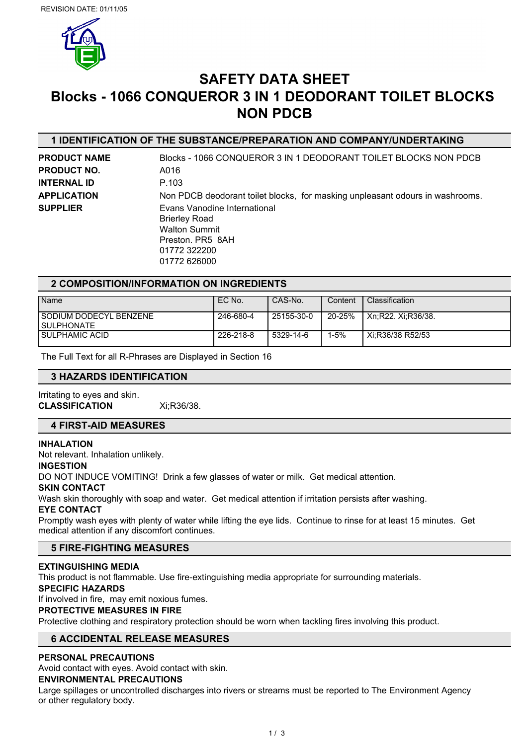

# **SAFETY DATA SHEET Blocks - 1066 CONQUEROR 3 IN 1 DEODORANT TOILET BLOCKS NON PDCB**

# **1 IDENTIFICATION OF THE SUBSTANCE/PREPARATION AND COMPANY/UNDERTAKING**

| <b>PRODUCT NAME</b> | Blocks - 1066 CONQUEROR 3 IN 1 DEODORANT TOILET BLOCKS NON PDCB                                                                  |
|---------------------|----------------------------------------------------------------------------------------------------------------------------------|
| <b>PRODUCT NO.</b>  | A016                                                                                                                             |
| INTERNAL ID         | P.103                                                                                                                            |
| <b>APPLICATION</b>  | Non PDCB deodorant toilet blocks, for masking unpleasant odours in washrooms.                                                    |
| <b>SUPPLIER</b>     | Evans Vanodine International<br><b>Brierley Road</b><br><b>Walton Summit</b><br>Preston, PR5 8AH<br>01772 322200<br>01772 626000 |

# **2 COMPOSITION/INFORMATION ON INGREDIENTS**

| Name                                     | EC No.    | CAS-No.    | Content  | Classification     |
|------------------------------------------|-----------|------------|----------|--------------------|
| I SODIUM DODECYL BENZENE<br>I SULPHONATE | 246-680-4 | 25155-30-0 | 20-25%   | Xn:R22. Xi:R36/38. |
| I SULPHAMIC ACID                         | 226-218-8 | 5329-14-6  | $1 - 5%$ | Xi:R36/38 R52/53   |

The Full Text for all R-Phrases are Displayed in Section 16

### **3 HAZARDS IDENTIFICATION**

Irritating to eyes and skin. **CLASSIFICATION** Xi;R36/38.

### **4 FIRST-AID MEASURES**

### **INHALATION**

Not relevant. Inhalation unlikely.

### **INGESTION**

DO NOT INDUCE VOMITING! Drink a few glasses of water or milk. Get medical attention.

### **SKIN CONTACT**

Wash skin thoroughly with soap and water. Get medical attention if irritation persists after washing.

### **EYE CONTACT**

Promptly wash eyes with plenty of water while lifting the eye lids. Continue to rinse for at least 15 minutes. Get medical attention if any discomfort continues.

### **5 FIRE-FIGHTING MEASURES**

### **EXTINGUISHING MEDIA**

This product is not flammable. Use fire-extinguishing media appropriate for surrounding materials.

### **SPECIFIC HAZARDS**

If involved in fire, may emit noxious fumes.

### **PROTECTIVE MEASURES IN FIRE**

Protective clothing and respiratory protection should be worn when tackling fires involving this product.

# **6 ACCIDENTAL RELEASE MEASURES**

### **PERSONAL PRECAUTIONS**

Avoid contact with eyes. Avoid contact with skin.

### **ENVIRONMENTAL PRECAUTIONS**

Large spillages or uncontrolled discharges into rivers or streams must be reported to The Environment Agency or other regulatory body.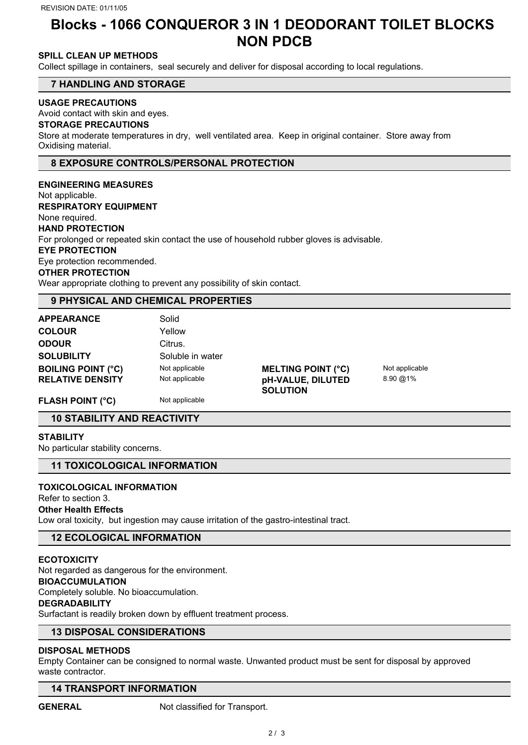# **Blocks - 1066 CONQUEROR 3 IN 1 DEODORANT TOILET BLOCKS NON PDCB**

# **SPILL CLEAN UP METHODS**

Collect spillage in containers, seal securely and deliver for disposal according to local regulations.

### **7 HANDLING AND STORAGE**

### **USAGE PRECAUTIONS**

Avoid contact with skin and eyes.

### **STORAGE PRECAUTIONS**

Store at moderate temperatures in dry, well ventilated area. Keep in original container. Store away from Oxidising material.

## **8 EXPOSURE CONTROLS/PERSONAL PROTECTION**

**ENGINEERING MEASURES** Not applicable. **RESPIRATORY EQUIPMENT** None required. **HAND PROTECTION** For prolonged or repeated skin contact the use of household rubber gloves is advisable. **EYE PROTECTION** Eye protection recommended. **OTHER PROTECTION** Wear appropriate clothing to prevent any possibility of skin contact.

### **9 PHYSICAL AND CHEMICAL PROPERTIES**

| <b>APPEARANCE</b>         | Solid            |                           |                |
|---------------------------|------------------|---------------------------|----------------|
| <b>COLOUR</b>             | Yellow           |                           |                |
| <b>ODOUR</b>              | Citrus.          |                           |                |
| <b>SOLUBILITY</b>         | Soluble in water |                           |                |
| <b>BOILING POINT (°C)</b> | Not applicable   | <b>MELTING POINT (°C)</b> | Not applicable |
| <b>RELATIVE DENSITY</b>   | Not applicable   | pH-VALUE, DILUTED         | 8.90 @ 1%      |
|                           |                  | <b>SOLUTION</b>           |                |
| <b>FLASH POINT (°C)</b>   | Not applicable   |                           |                |

# **10 STABILITY AND REACTIVITY**

**STABILITY**

No particular stability concerns.

### **11 TOXICOLOGICAL INFORMATION**

# **TOXICOLOGICAL INFORMATION**

## Refer to section 3.

## **Other Health Effects**

Low oral toxicity, but ingestion may cause irritation of the gastro-intestinal tract.

### **12 ECOLOGICAL INFORMATION**

### **ECOTOXICITY**

Not regarded as dangerous for the environment.

### **BIOACCUMULATION**

Completely soluble. No bioaccumulation.

### **DEGRADABILITY**

Surfactant is readily broken down by effluent treatment process.

## **13 DISPOSAL CONSIDERATIONS**

### **DISPOSAL METHODS**

Empty Container can be consigned to normal waste. Unwanted product must be sent for disposal by approved waste contractor.

### **14 TRANSPORT INFORMATION**

GENERAL Not classified for Transport.